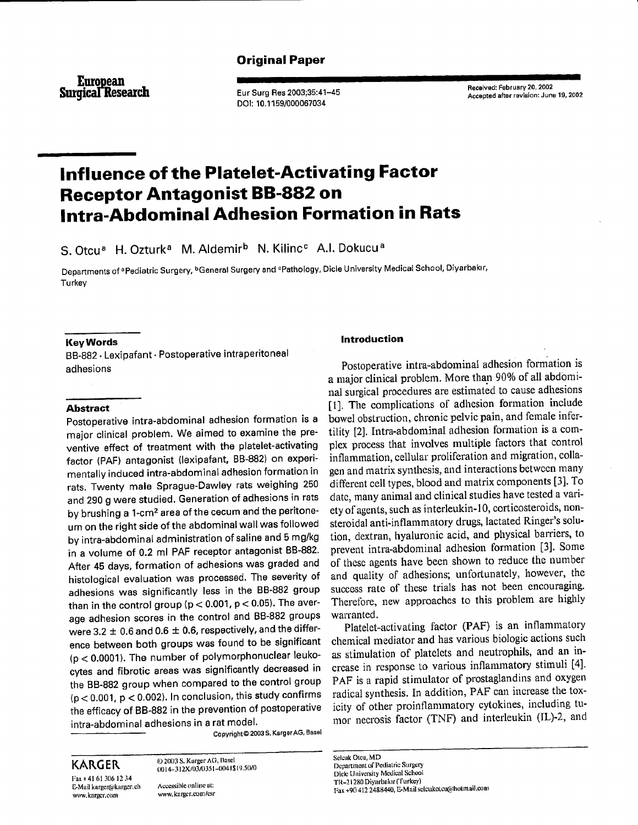# Original Paper

European Surgical Research Eur Surg Res 2003;35:41-45

DOI: 10.1 159/000067034

Received: February 20, 2002 Accepted after revision: June 19, 2002

# lnfluence of the Platelet-Activating Factor lntra-Abdominal Adhesion Formation in Rats Receptor Antagonist BB-882 on

S. Otcu<sup>a</sup> H. Ozturk<sup>a</sup> M. Aldemir<sup>b</sup> N. Kilinc<sup>c</sup> A.I. Dokucu<sup>a</sup>

Departments of <sup>a</sup>Pediatric Surgery, <sup>b</sup>General Surgery and <sup>e</sup>Pathology, Dicle University Medical School, Diyarbakır, **Turkey** 

#### KeyWords

B8-882 . Lexipafant. Postoperative intraperitoneal adhesions

## Abstract

Postoperative intra-abdominal adhesion formation is a major clinical problem. We aimed to examine the preventive effect of treatment with the platelet-activating factor (PAF) antagonist (lexipafant, BB-882) on exporimentally induced intra-abdominal adhesion formation in rats. Twenty male Sprague-Dawley rats weighing 250 and 290 g were studied. Generation of adhesions in rats by brushing a 1-cm<sup>2</sup> area of the cecum and the peritoneum on the right side of the abdominal wall was followed by intra-abdominal administration of saline and 5 mg/kg in a volume of 0.2 ml PAF receptor antagonist BB-882. After 45 days, formation of adhesions was graded and histological evaluation was processed. The severity of adhesions was significantly less in the BB-882 group than in the control group ( $p < 0.001$ ,  $p < 0.05$ ). The average adhesion scores in the control and BB-882 groups were 3.2  $\pm$  0.6 and 0.6  $\pm$  0.6, respectively, and the difference between both groups was found to be significant (p < 0.0001). The number of polymorphonuclear leukocytes and fibrotic areas was significantly decreased in the BB-882 group when compared to the control group  $(p < 0.001, p < 0.002)$ . In conclusion, this study confirms the efficacy of BB-882 in the prevention of postoperative intra-abdominal adhesions in a rat model.

Copyright © 2003 S. Karger AG, Basel

KARGER 62003 S. Karger AG, Basel<br>0014-312X/03/0351-0041\$19.50/0 Fax + 41 61 306 12 34

E-Mail karger@karger.ch Accessible online at:<br>www.karger.com www.karger.com/csi www.karger.com/esr

## lntroduction

Postoperative intra-abdominal adhesion formation is a major clinical problem. More than 90% of all abdominal surgical procedures are estimated to cause adhesions [1]. The complications of adhesion formation include bowel obstruction. chronic pelvic pain, and fernale infcrtility [2]. Intra-abdominal adhesion formation is a complex process that involves multiple factors that control inflammation, cellular proliferation and migration, collagen and matrix synthesis, and interactions between many different cell types, blood and matrix components [3]. To date, many animal and clinical studies have tested a vari' ety of agents, such as interleukin-10, corticosteroids, nonsteroidal anti-inflammatory drugs, lactated Ringer's solution, dextran, hyaluronic acid, and physical barriers, to prevent intra-abdominal adhesion formation [3]. Some of thesc agents have becn shown to reduce the number and quality of adhesions; unfortunately, however, the success rate of these trials has not been encouraging. Therefore, new approaches to this problem are highly warranted.

Platelct-activating factor (PAF) is an inflammatory chemical mediator and has various biologic actions such as stimulation of platelets and neutrophils, and an increase in response to various inflammatory stimuli [4]. PAF is a rapid stimulator of prostaglandins and oxygen radical synthesis. In addition, PAF can increase the toxicity of other proinflammatory cytokines, including tumor necrosis factor (TNF) and interleukin (IL)-2, and

Sclcuk Otcu, MD Department of Pediatric Surgery Dicle University Medical School 1'll-2 I 280 Diynrbakrr ('ftrrkBy) Fax +90 412 2488440, E-Mail sclcukotcu@hotmail.com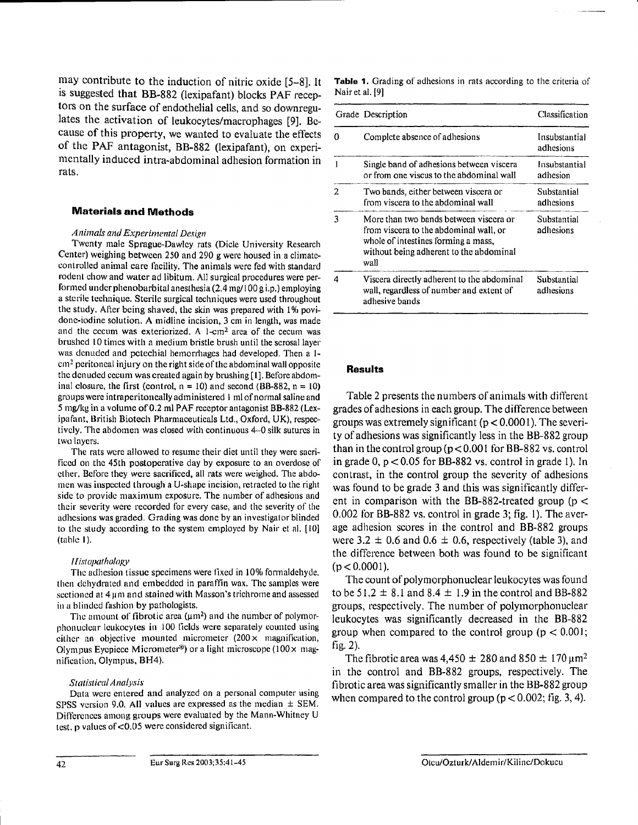may contribute to the induction of nitric oxide  $[5-8]$ . It is suggested that BB-882 (lexipafant) blocks PAF receptors on the surface of endothelial cells, and so downregulates the activation of leukocytes/macrophages [9]. Bccause of this property, we wanted to evaluate the effects of the PAF antagonist, BB-882 (lexipafant), on experimentally induced intra-abdominal adhesion formation in rats.

## Materials and Methods

#### Animals and Experimental Design

Twenty male Sprague-Dawley rats (Dicle University Research Center) weighing between 250 and 290 g were housed in a climatecontrolled animal care facility. The animals were fed with standard rodent chow and water ad libitum. All surgical procedures were performed under phenobarbital anesthesia  $(2.4 \text{ mg}/ 100 \text{ g i.p.})$  employing a sterile technique. Sterile surgical techniques were used throughout the study. After being shaved, the skin was prepared with 1% povidone-iodine solution. A midline incision, 3 cm in length, was made and the cecum was exteriorized. A 1-cm<sup>2</sup> area of the cecum was brushed 10 times with a medium bristle brush until the serosal layer was denuded and petechial hemorrhages had developed. Then a 1 $cm<sup>2</sup>$  peritoneal injury on the right side of the abdominal wall opposite the denuded cecum was created again by brushing [1]. Before abdominal closure, the first (control,  $n = 10$ ) and second (BB-882,  $n = 10$ ) groups were intraperitoneally administered 1 ml of normal saline and 5 mg/kg in a volume of 0.2 ml PAF receptor antagonist BB-882 (Lexipafant, British Biotech Pharmaceuticals Ltd., Oxford, UK), respectivcly. The abdonren was closed with continuous 4-0 silk suturcs in two layers.<br>The rats were allowed to resume their diet until they were sacri-

ficed on the 45th postoperative day by exposure to an overdose of ether. Before they were sacrificed, all rats were weighed. The abdolulturen was inspected through a U-shape incision, retracted to the right side to provide maximum exposure. The number of adhesions and their severity were recorded for every case, and the severity of the adhesions was graded. Grading was done by an investigator blinded to the study according to the system employed by Nair et al. [10]  $(table 1).$ 

#### Histopathology

The adhesion tissue specimens were fixed in  $10\%$  formaldehyde, then dehydrated and embedded in paraffin wax. The samples were sectioned at  $4 \mu m$  and stained with Masson's trichrome and assessed in a blinded fashion by pathologists.

The amount of fibrotic area  $(\mu m^2)$  and the number of polymorphonuclear leukocytes in 100 fields were separately counted using cither an objective mounted micrometer  $(200 \times$  magnification, Olympus Eyepiece Micrometer<sup>®</sup>) or a light microscope ( $100 \times$  magnification, Olympus, BH4).

#### Statistical Analysis

Data were entered and analyzed on a personal computer using SPSS version 9.0. All values are expressed as the median  $\pm$  SEM. Differences among groups were evaluated by the Mann-Whitney U test, p values of  $< 0.05$  were considered significant.

Table 1. Grading of adhesions in rats according to the criteria of Nair et al. [9]

|   | Grade Description                                                                                                                                                          | Classification<br>Insubstantial<br>adhesions |  |
|---|----------------------------------------------------------------------------------------------------------------------------------------------------------------------------|----------------------------------------------|--|
| Λ | Complete absence of adhesions                                                                                                                                              |                                              |  |
|   | Single band of adhesions between viscera<br>or from one viscus to the abdominal wall                                                                                       | Insubstantial<br>adhesion                    |  |
| 2 | Two bands, either between viscera or<br>from viscera to the abdominal wall                                                                                                 | Substantial<br>adhesions                     |  |
| 3 | More than two bands between viscera or<br>from viscera to the abdominal wall, or<br>whole of intestines forming a mass,<br>without being adherent to the abdominal<br>wall | Substantial<br>adhesions                     |  |
| 4 | Viscera directly adherent to the abdominal<br>wall, regardless of number and extent of<br>adhesive bands                                                                   | Substantial<br>adhesions                     |  |

#### Results

Table 2 presents the numbers of animals with different grades of adhesions in each group. The difference between groups was extremely significant ( $p < 0.0001$ ). The severity of adhesions was significantly less in the BB-882 group than in the control group ( $p < 0.001$  for BB-882 vs. control in grade 0,  $p < 0.05$  for BB-882 vs. control in grade 1). In contrast, in the control group the severity of adhesions was found to be grade 3 and this was significantly different in comparison with the BB-882-treated group ( $p <$  $0.002$  for BB-882 vs. control in grade 3; fig. 1). The average adhesion scores in the control and BB-882 groups were 3.2  $\pm$  0.6 and 0.6  $\pm$  0.6, respectively (table 3), and the difference between both was found to be significant  $(p < 0.0001)$ .

The couut of polymorphonuclear leukocytes was found to be 51.2  $\pm$  8.1 and 8.4  $\pm$  1.9 in the control and BB-882 groups, respectively. The number of polymorphonuclear Ieukocytes was significantly decreased in the BB-882 group when compared to the control group ( $p < 0.001$ ; fig.  $2$ ).

The fibrotic area was 4,450  $\pm$  280 and 850  $\pm$  170  $\mu$ m<sup>2</sup> in thc control and BB-882 groups, respectively. The fibrotic area was significantly smaller in the BB-882 group when compared to the control group ( $p < 0.002$ ; fig. 3, 4).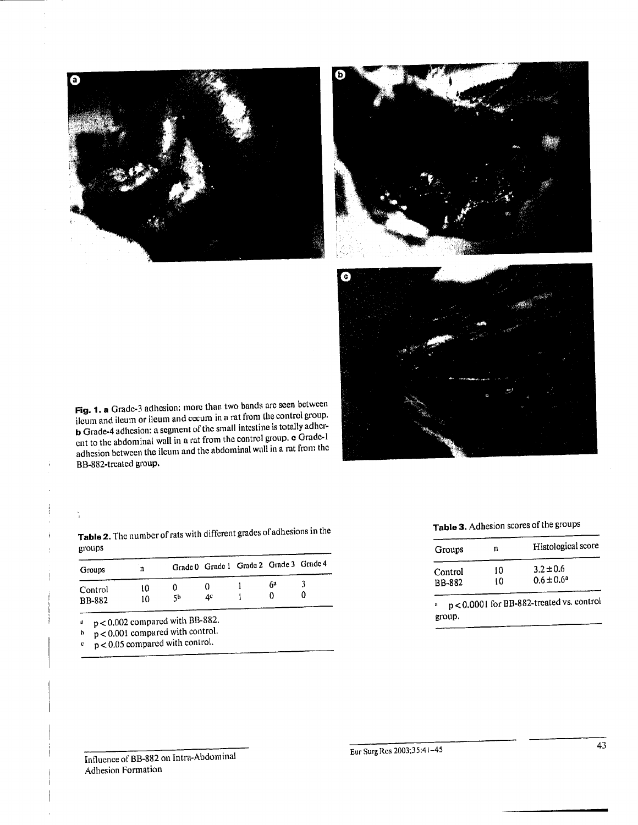



Fig. 1. a Grade-3 adhesion: more than two bands are seen between ileum and ileum or ileum and eecum in a rat from the control group. **b** Grade-4 adhesion: a segment of the small intestine is totally adherent to the abdominal wall in a rat from the control group, c Grade-1 adhesion between the ileum and the abdominal wall in a rat from the BB-882-treated group.

|  | Table 3. Adhesion scores of the groups |
|--|----------------------------------------|
|--|----------------------------------------|

| Groups        | n  | Histological score |
|---------------|----|--------------------|
| Control       | 10 | $3.2 \pm 0.6$      |
| <b>BB-882</b> | 10 | $0.6 \pm 0.6^a$    |

 $p < 0.0001$  for BB-882-treated vs. control group.

Table 2. The number of rats with different grades of adhesions in the groups

| Groups                   | n        |    |    |    | Grade 0 Grade 1 Grade 2 Grade 3 Grade 4 |
|--------------------------|----------|----|----|----|-----------------------------------------|
| Control<br><b>BB-882</b> | 10<br>10 | 5b | Д¢ | 64 |                                         |

 $p < 0.002$  compared with BB-882.  $\mathbf{a}$ 

 $p < 0.001$  compared with control.  $\mathbf b$ 

 $p < 0.05$  compared with control.  $\mathbf{c}$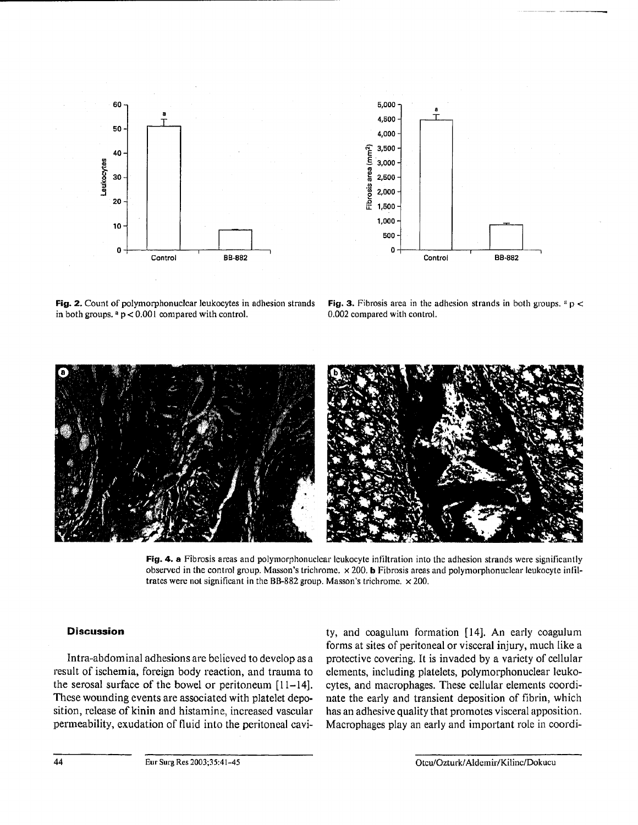



Fig. 2. Count of polymorphonuclear leukocytes in adhesion strands in both groups.  $a$   $p$  < 0.001 compared with control.

Fig. 3. Fibrosis area in the adhesion strands in both groups.  $a$  p < 0.002 compared with control.



Fig. 4. a Fibrosis areas and polymorphonuclear leukocyte infiltration into the adhesion strands were significantly observed in the control group. Masson's trichrome. x 200. b Fibrosis areas and polymorphonuclear leukocyte infiltrates were not significant in the BB-882 group. Masson's trichrome.  $\times$  200.

## Discussion

Intra-abdominal adhesions are believed to develop as a result of ischemia, foreign body reaction, and trauma to the serosal surface of the bowel or peritoneum  $[11-14]$ . These wounding events are associated with platelet deposition, release of kinin and histamine, increased vascular permeability, exudation of fluid into the peritoneal cavity, and coagulum formation  $[14]$ . An early coagulum forms at sites of peritoneal or visceral injury, much like a protective covering. It is invaded by a variety of cellular elements, including platelets, polymorphonuclear leukocytes, and macrophages. These cellular elements coordinate the early and transient deposition of fibrin, which has an adhesive quality that pronotes visceral apposition. Macrophages play an early and important role in coordi